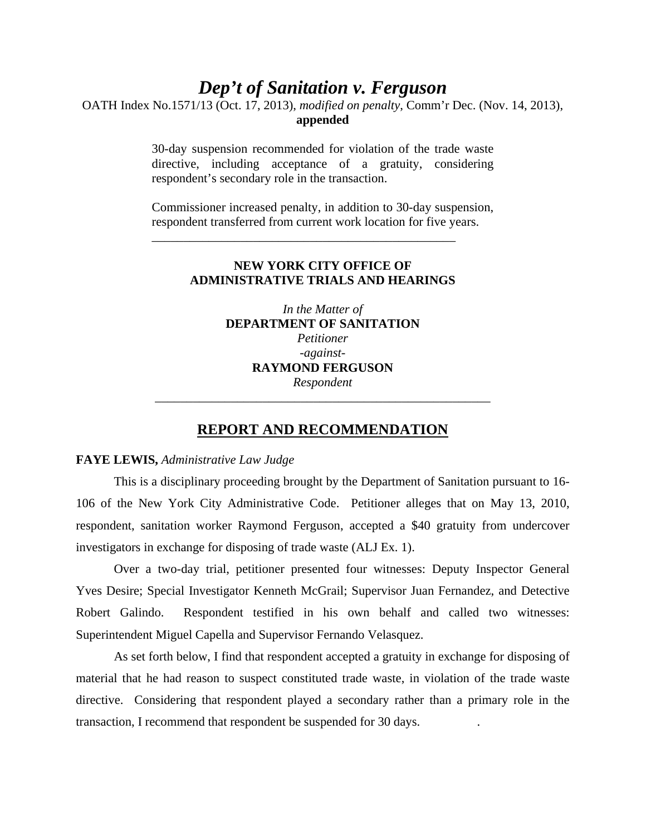# *Dep't of Sanitation v. Ferguson*

OATH Index No.1571/13 (Oct. 17, 2013), *modified on penalty*, Comm'r Dec. (Nov. 14, 2013), **appended**

> 30-day suspension recommended for violation of the trade waste directive, including acceptance of a gratuity, considering respondent's secondary role in the transaction.

> Commissioner increased penalty, in addition to 30-day suspension, respondent transferred from current work location for five years.

\_\_\_\_\_\_\_\_\_\_\_\_\_\_\_\_\_\_\_\_\_\_\_\_\_\_\_\_\_\_\_\_\_\_\_\_\_\_\_\_\_\_\_\_\_\_\_\_

## **NEW YORK CITY OFFICE OF ADMINISTRATIVE TRIALS AND HEARINGS**

*In the Matter of*  **DEPARTMENT OF SANITATION**  *Petitioner -against-***RAYMOND FERGUSON**  *Respondent* 

#### **REPORT AND RECOMMENDATION**

\_\_\_\_\_\_\_\_\_\_\_\_\_\_\_\_\_\_\_\_\_\_\_\_\_\_\_\_\_\_\_\_\_\_\_\_\_\_\_\_\_\_\_\_\_\_\_\_\_\_\_\_\_

#### **FAYE LEWIS,** *Administrative Law Judge*

This is a disciplinary proceeding brought by the Department of Sanitation pursuant to 16- 106 of the New York City Administrative Code. Petitioner alleges that on May 13, 2010, respondent, sanitation worker Raymond Ferguson, accepted a \$40 gratuity from undercover investigators in exchange for disposing of trade waste (ALJ Ex. 1).

Over a two-day trial, petitioner presented four witnesses: Deputy Inspector General Yves Desire; Special Investigator Kenneth McGrail; Supervisor Juan Fernandez, and Detective Robert Galindo. Respondent testified in his own behalf and called two witnesses: Superintendent Miguel Capella and Supervisor Fernando Velasquez.

As set forth below, I find that respondent accepted a gratuity in exchange for disposing of material that he had reason to suspect constituted trade waste, in violation of the trade waste directive. Considering that respondent played a secondary rather than a primary role in the transaction, I recommend that respondent be suspended for 30 days. .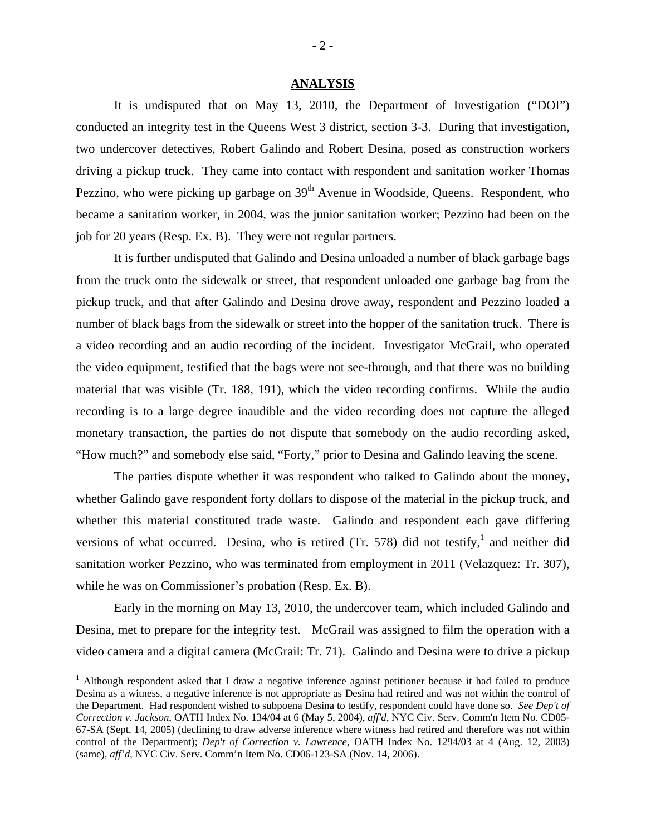#### **ANALYSIS**

 It is undisputed that on May 13, 2010, the Department of Investigation ("DOI") conducted an integrity test in the Queens West 3 district, section 3-3. During that investigation, two undercover detectives, Robert Galindo and Robert Desina, posed as construction workers driving a pickup truck. They came into contact with respondent and sanitation worker Thomas Pezzino, who were picking up garbage on 39<sup>th</sup> Avenue in Woodside, Queens. Respondent, who became a sanitation worker, in 2004, was the junior sanitation worker; Pezzino had been on the job for 20 years (Resp. Ex. B). They were not regular partners.

 It is further undisputed that Galindo and Desina unloaded a number of black garbage bags from the truck onto the sidewalk or street, that respondent unloaded one garbage bag from the pickup truck, and that after Galindo and Desina drove away, respondent and Pezzino loaded a number of black bags from the sidewalk or street into the hopper of the sanitation truck. There is a video recording and an audio recording of the incident. Investigator McGrail, who operated the video equipment, testified that the bags were not see-through, and that there was no building material that was visible (Tr. 188, 191), which the video recording confirms. While the audio recording is to a large degree inaudible and the video recording does not capture the alleged monetary transaction, the parties do not dispute that somebody on the audio recording asked, "How much?" and somebody else said, "Forty," prior to Desina and Galindo leaving the scene.

 The parties dispute whether it was respondent who talked to Galindo about the money, whether Galindo gave respondent forty dollars to dispose of the material in the pickup truck, and whether this material constituted trade waste. Galindo and respondent each gave differing versions of what occurred. Desina, who is retired (Tr. 578) did not testify,<sup>1</sup> and neither did sanitation worker Pezzino, who was terminated from employment in 2011 (Velazquez: Tr. 307), while he was on Commissioner's probation (Resp. Ex. B).

 Early in the morning on May 13, 2010, the undercover team, which included Galindo and Desina, met to prepare for the integrity test. McGrail was assigned to film the operation with a video camera and a digital camera (McGrail: Tr. 71). Galindo and Desina were to drive a pickup

<u>.</u>

<sup>&</sup>lt;sup>1</sup> Although respondent asked that I draw a negative inference against petitioner because it had failed to produce Desina as a witness, a negative inference is not appropriate as Desina had retired and was not within the control of the Department. Had respondent wished to subpoena Desina to testify, respondent could have done so. *See Dep't of Correction v. Jackson*, OATH Index No. 134/04 at 6 (May 5, 2004), *aff'd*, NYC Civ. Serv. Comm'n Item No. CD05- 67-SA (Sept. 14, 2005) (declining to draw adverse inference where witness had retired and therefore was not within control of the Department); *Dep't of Correction v. Lawrence*, OATH Index No. 1294/03 at 4 (Aug. 12, 2003) (same), *aff'd,* NYC Civ. Serv. Comm'n Item No. CD06-123-SA (Nov. 14, 2006).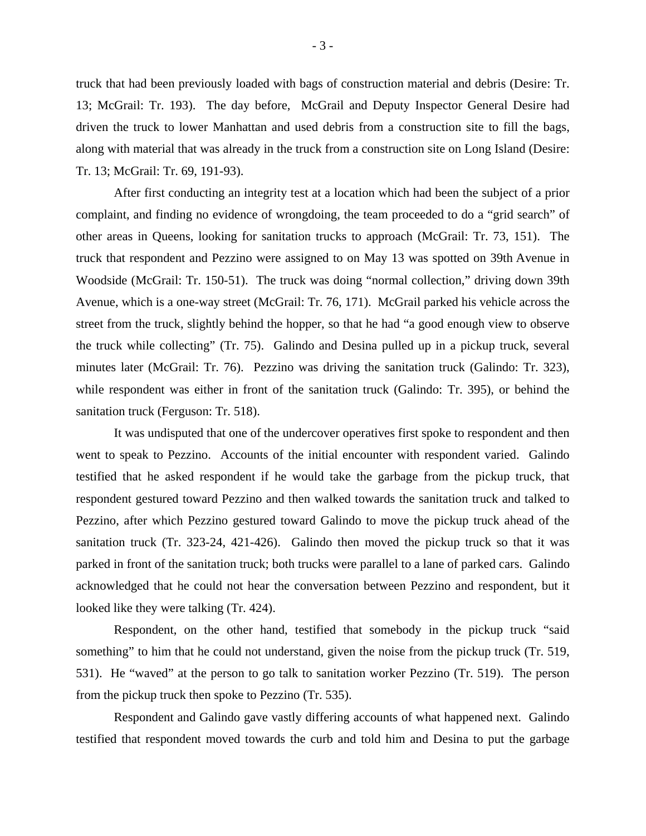truck that had been previously loaded with bags of construction material and debris (Desire: Tr. 13; McGrail: Tr. 193). The day before, McGrail and Deputy Inspector General Desire had driven the truck to lower Manhattan and used debris from a construction site to fill the bags, along with material that was already in the truck from a construction site on Long Island (Desire: Tr. 13; McGrail: Tr. 69, 191-93).

 After first conducting an integrity test at a location which had been the subject of a prior complaint, and finding no evidence of wrongdoing, the team proceeded to do a "grid search" of other areas in Queens, looking for sanitation trucks to approach (McGrail: Tr. 73, 151). The truck that respondent and Pezzino were assigned to on May 13 was spotted on 39th Avenue in Woodside (McGrail: Tr. 150-51). The truck was doing "normal collection," driving down 39th Avenue, which is a one-way street (McGrail: Tr. 76, 171). McGrail parked his vehicle across the street from the truck, slightly behind the hopper, so that he had "a good enough view to observe the truck while collecting" (Tr. 75). Galindo and Desina pulled up in a pickup truck, several minutes later (McGrail: Tr. 76). Pezzino was driving the sanitation truck (Galindo: Tr. 323), while respondent was either in front of the sanitation truck (Galindo: Tr. 395), or behind the sanitation truck (Ferguson: Tr. 518).

 It was undisputed that one of the undercover operatives first spoke to respondent and then went to speak to Pezzino. Accounts of the initial encounter with respondent varied. Galindo testified that he asked respondent if he would take the garbage from the pickup truck, that respondent gestured toward Pezzino and then walked towards the sanitation truck and talked to Pezzino, after which Pezzino gestured toward Galindo to move the pickup truck ahead of the sanitation truck (Tr. 323-24, 421-426). Galindo then moved the pickup truck so that it was parked in front of the sanitation truck; both trucks were parallel to a lane of parked cars. Galindo acknowledged that he could not hear the conversation between Pezzino and respondent, but it looked like they were talking (Tr. 424).

 Respondent, on the other hand, testified that somebody in the pickup truck "said something" to him that he could not understand, given the noise from the pickup truck (Tr. 519, 531). He "waved" at the person to go talk to sanitation worker Pezzino (Tr. 519). The person from the pickup truck then spoke to Pezzino (Tr. 535).

 Respondent and Galindo gave vastly differing accounts of what happened next. Galindo testified that respondent moved towards the curb and told him and Desina to put the garbage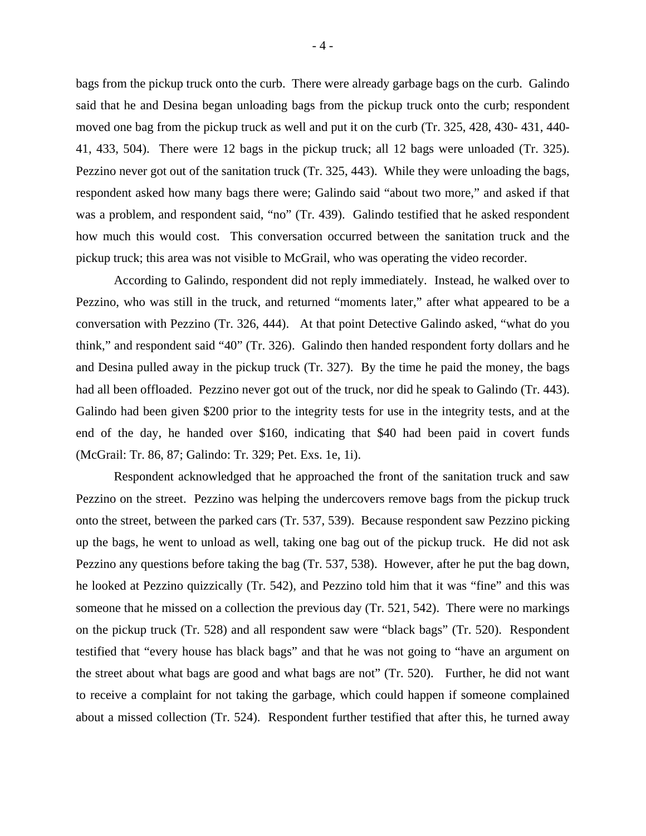bags from the pickup truck onto the curb. There were already garbage bags on the curb. Galindo said that he and Desina began unloading bags from the pickup truck onto the curb; respondent moved one bag from the pickup truck as well and put it on the curb (Tr. 325, 428, 430- 431, 440- 41, 433, 504). There were 12 bags in the pickup truck; all 12 bags were unloaded (Tr. 325). Pezzino never got out of the sanitation truck (Tr. 325, 443). While they were unloading the bags, respondent asked how many bags there were; Galindo said "about two more," and asked if that was a problem, and respondent said, "no" (Tr. 439). Galindo testified that he asked respondent how much this would cost. This conversation occurred between the sanitation truck and the pickup truck; this area was not visible to McGrail, who was operating the video recorder.

 According to Galindo, respondent did not reply immediately. Instead, he walked over to Pezzino, who was still in the truck, and returned "moments later," after what appeared to be a conversation with Pezzino (Tr. 326, 444). At that point Detective Galindo asked, "what do you think," and respondent said "40" (Tr. 326). Galindo then handed respondent forty dollars and he and Desina pulled away in the pickup truck (Tr. 327). By the time he paid the money, the bags had all been offloaded. Pezzino never got out of the truck, nor did he speak to Galindo (Tr. 443). Galindo had been given \$200 prior to the integrity tests for use in the integrity tests, and at the end of the day, he handed over \$160, indicating that \$40 had been paid in covert funds (McGrail: Tr. 86, 87; Galindo: Tr. 329; Pet. Exs. 1e, 1i).

 Respondent acknowledged that he approached the front of the sanitation truck and saw Pezzino on the street. Pezzino was helping the undercovers remove bags from the pickup truck onto the street, between the parked cars (Tr. 537, 539). Because respondent saw Pezzino picking up the bags, he went to unload as well, taking one bag out of the pickup truck. He did not ask Pezzino any questions before taking the bag (Tr. 537, 538). However, after he put the bag down, he looked at Pezzino quizzically (Tr. 542), and Pezzino told him that it was "fine" and this was someone that he missed on a collection the previous day (Tr. 521, 542). There were no markings on the pickup truck (Tr. 528) and all respondent saw were "black bags" (Tr. 520). Respondent testified that "every house has black bags" and that he was not going to "have an argument on the street about what bags are good and what bags are not" (Tr. 520). Further, he did not want to receive a complaint for not taking the garbage, which could happen if someone complained about a missed collection (Tr. 524). Respondent further testified that after this, he turned away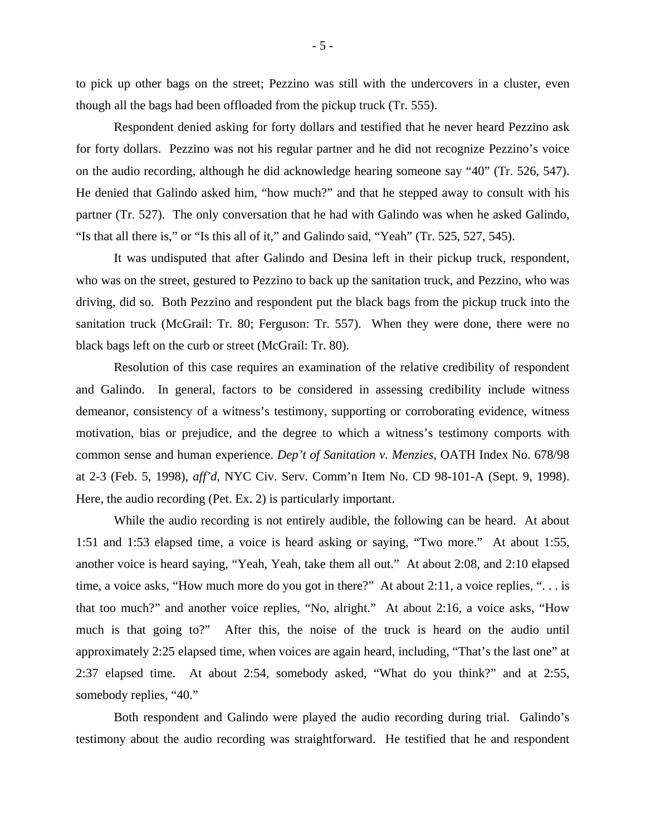to pick up other bags on the street; Pezzino was still with the undercovers in a cluster, even though all the bags had been offloaded from the pickup truck (Tr. 555).

 Respondent denied asking for forty dollars and testified that he never heard Pezzino ask for forty dollars. Pezzino was not his regular partner and he did not recognize Pezzino's voice on the audio recording, although he did acknowledge hearing someone say "40" (Tr. 526, 547). He denied that Galindo asked him, "how much?" and that he stepped away to consult with his partner (Tr. 527). The only conversation that he had with Galindo was when he asked Galindo, "Is that all there is," or "Is this all of it," and Galindo said, "Yeah" (Tr. 525, 527, 545).

 It was undisputed that after Galindo and Desina left in their pickup truck, respondent, who was on the street, gestured to Pezzino to back up the sanitation truck, and Pezzino, who was driving, did so. Both Pezzino and respondent put the black bags from the pickup truck into the sanitation truck (McGrail: Tr. 80; Ferguson: Tr. 557). When they were done, there were no black bags left on the curb or street (McGrail: Tr. 80).

 Resolution of this case requires an examination of the relative credibility of respondent and Galindo. In general, factors to be considered in assessing credibility include witness demeanor, consistency of a witness's testimony, supporting or corroborating evidence, witness motivation, bias or prejudice, and the degree to which a witness's testimony comports with common sense and human experience. *Dep't of Sanitation v. Menzies*, OATH Index No. 678/98 at 2-3 (Feb. 5, 1998), *aff'd,* NYC Civ. Serv. Comm'n Item No. CD 98-101-A (Sept. 9, 1998). Here, the audio recording (Pet. Ex. 2) is particularly important.

 While the audio recording is not entirely audible, the following can be heard. At about 1:51 and 1:53 elapsed time, a voice is heard asking or saying, "Two more." At about 1:55, another voice is heard saying, "Yeah, Yeah, take them all out." At about 2:08, and 2:10 elapsed time, a voice asks, "How much more do you got in there?" At about 2:11, a voice replies, ". . . is that too much?" and another voice replies, "No, alright." At about 2:16, a voice asks, "How much is that going to?" After this, the noise of the truck is heard on the audio until approximately 2:25 elapsed time, when voices are again heard, including, "That's the last one" at 2:37 elapsed time. At about 2:54, somebody asked, "What do you think?" and at 2:55, somebody replies, "40."

 Both respondent and Galindo were played the audio recording during trial. Galindo's testimony about the audio recording was straightforward. He testified that he and respondent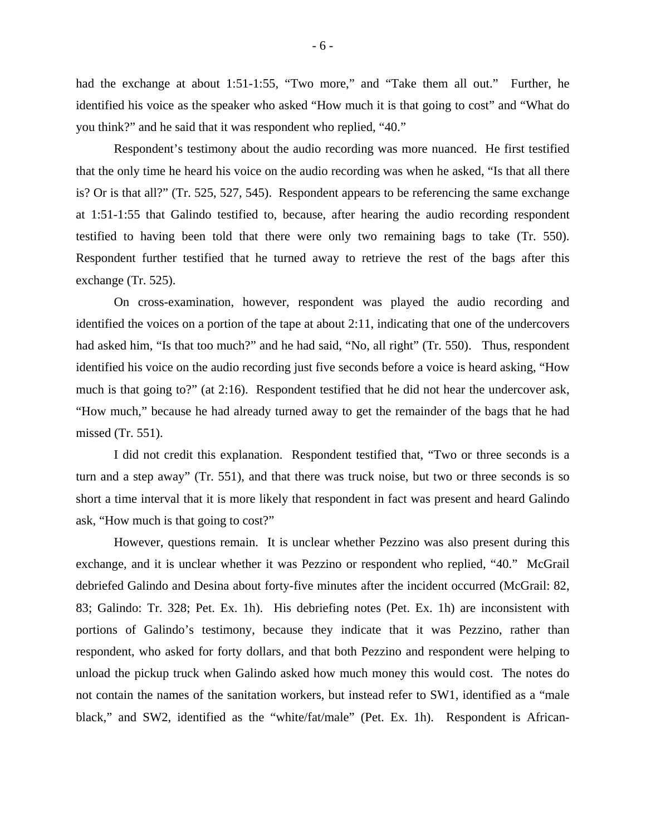had the exchange at about 1:51-1:55, "Two more," and "Take them all out." Further, he identified his voice as the speaker who asked "How much it is that going to cost" and "What do you think?" and he said that it was respondent who replied, "40."

 Respondent's testimony about the audio recording was more nuanced. He first testified that the only time he heard his voice on the audio recording was when he asked, "Is that all there is? Or is that all?" (Tr. 525, 527, 545). Respondent appears to be referencing the same exchange at 1:51-1:55 that Galindo testified to, because, after hearing the audio recording respondent testified to having been told that there were only two remaining bags to take (Tr. 550). Respondent further testified that he turned away to retrieve the rest of the bags after this exchange (Tr. 525).

 On cross-examination, however, respondent was played the audio recording and identified the voices on a portion of the tape at about 2:11, indicating that one of the undercovers had asked him, "Is that too much?" and he had said, "No, all right" (Tr. 550). Thus, respondent identified his voice on the audio recording just five seconds before a voice is heard asking, "How much is that going to?" (at 2:16). Respondent testified that he did not hear the undercover ask, "How much," because he had already turned away to get the remainder of the bags that he had missed (Tr. 551).

 I did not credit this explanation. Respondent testified that, "Two or three seconds is a turn and a step away" (Tr. 551), and that there was truck noise, but two or three seconds is so short a time interval that it is more likely that respondent in fact was present and heard Galindo ask, "How much is that going to cost?"

 However, questions remain. It is unclear whether Pezzino was also present during this exchange, and it is unclear whether it was Pezzino or respondent who replied, "40." McGrail debriefed Galindo and Desina about forty-five minutes after the incident occurred (McGrail: 82, 83; Galindo: Tr. 328; Pet. Ex. 1h). His debriefing notes (Pet. Ex. 1h) are inconsistent with portions of Galindo's testimony, because they indicate that it was Pezzino, rather than respondent, who asked for forty dollars, and that both Pezzino and respondent were helping to unload the pickup truck when Galindo asked how much money this would cost. The notes do not contain the names of the sanitation workers, but instead refer to SW1, identified as a "male black," and SW2, identified as the "white/fat/male" (Pet. Ex. 1h). Respondent is African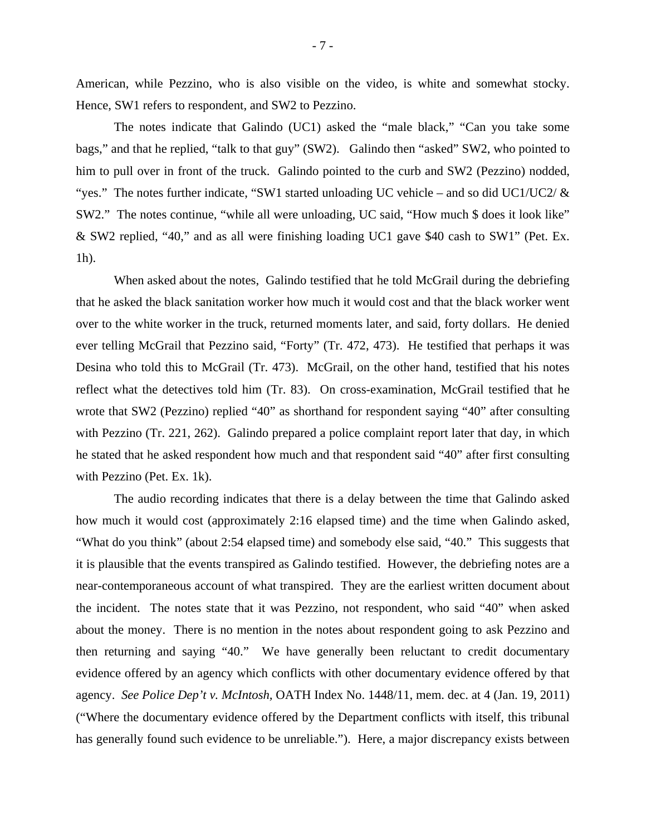American, while Pezzino, who is also visible on the video, is white and somewhat stocky. Hence, SW1 refers to respondent, and SW2 to Pezzino.

 The notes indicate that Galindo (UC1) asked the "male black," "Can you take some bags," and that he replied, "talk to that guy" (SW2). Galindo then "asked" SW2, who pointed to him to pull over in front of the truck. Galindo pointed to the curb and SW2 (Pezzino) nodded, "yes." The notes further indicate, "SW1 started unloading UC vehicle – and so did UC1/UC2/  $\&$ SW2." The notes continue, "while all were unloading, UC said, "How much \$ does it look like" & SW2 replied, "40," and as all were finishing loading UC1 gave \$40 cash to SW1" (Pet. Ex. 1h).

 When asked about the notes, Galindo testified that he told McGrail during the debriefing that he asked the black sanitation worker how much it would cost and that the black worker went over to the white worker in the truck, returned moments later, and said, forty dollars. He denied ever telling McGrail that Pezzino said, "Forty" (Tr. 472, 473). He testified that perhaps it was Desina who told this to McGrail (Tr. 473). McGrail, on the other hand, testified that his notes reflect what the detectives told him (Tr. 83). On cross-examination, McGrail testified that he wrote that SW2 (Pezzino) replied "40" as shorthand for respondent saying "40" after consulting with Pezzino (Tr. 221, 262). Galindo prepared a police complaint report later that day, in which he stated that he asked respondent how much and that respondent said "40" after first consulting with Pezzino (Pet. Ex. 1k).

 The audio recording indicates that there is a delay between the time that Galindo asked how much it would cost (approximately 2:16 elapsed time) and the time when Galindo asked, "What do you think" (about 2:54 elapsed time) and somebody else said, "40." This suggests that it is plausible that the events transpired as Galindo testified. However, the debriefing notes are a near-contemporaneous account of what transpired. They are the earliest written document about the incident. The notes state that it was Pezzino, not respondent, who said "40" when asked about the money. There is no mention in the notes about respondent going to ask Pezzino and then returning and saying "40." We have generally been reluctant to credit documentary evidence offered by an agency which conflicts with other documentary evidence offered by that agency. *See Police Dep't v. McIntosh,* OATH Index No. 1448/11, mem. dec. at 4 (Jan. 19, 2011) ("Where the documentary evidence offered by the Department conflicts with itself, this tribunal has generally found such evidence to be unreliable."). Here, a major discrepancy exists between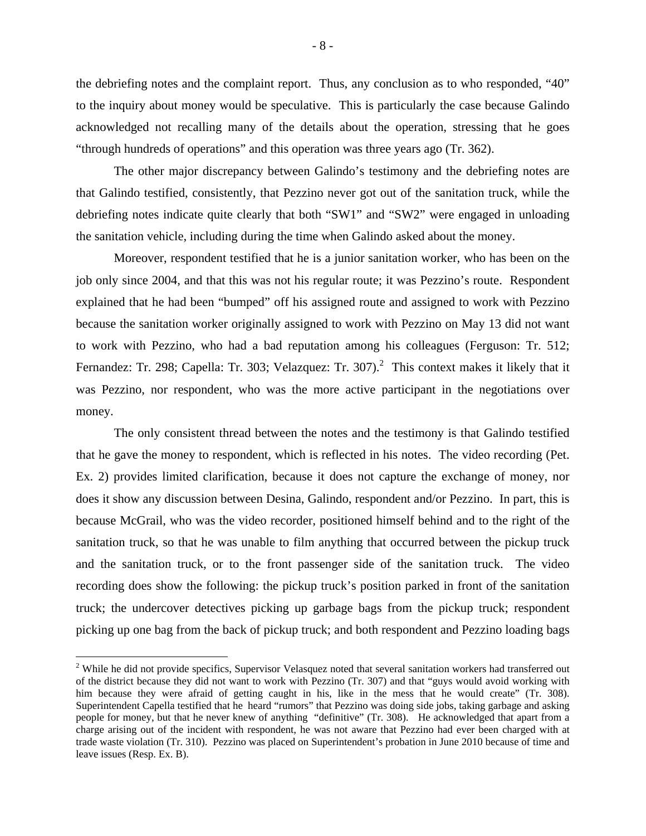the debriefing notes and the complaint report. Thus, any conclusion as to who responded, "40" to the inquiry about money would be speculative. This is particularly the case because Galindo acknowledged not recalling many of the details about the operation, stressing that he goes "through hundreds of operations" and this operation was three years ago (Tr. 362).

 The other major discrepancy between Galindo's testimony and the debriefing notes are that Galindo testified, consistently, that Pezzino never got out of the sanitation truck, while the debriefing notes indicate quite clearly that both "SW1" and "SW2" were engaged in unloading the sanitation vehicle, including during the time when Galindo asked about the money.

 Moreover, respondent testified that he is a junior sanitation worker, who has been on the job only since 2004, and that this was not his regular route; it was Pezzino's route. Respondent explained that he had been "bumped" off his assigned route and assigned to work with Pezzino because the sanitation worker originally assigned to work with Pezzino on May 13 did not want to work with Pezzino, who had a bad reputation among his colleagues (Ferguson: Tr. 512; Fernandez: Tr. 298; Capella: Tr. 303; Velazquez: Tr. 307).<sup>2</sup> This context makes it likely that it was Pezzino, nor respondent, who was the more active participant in the negotiations over money.

 The only consistent thread between the notes and the testimony is that Galindo testified that he gave the money to respondent, which is reflected in his notes. The video recording (Pet. Ex. 2) provides limited clarification, because it does not capture the exchange of money, nor does it show any discussion between Desina, Galindo, respondent and/or Pezzino. In part, this is because McGrail, who was the video recorder, positioned himself behind and to the right of the sanitation truck, so that he was unable to film anything that occurred between the pickup truck and the sanitation truck, or to the front passenger side of the sanitation truck. The video recording does show the following: the pickup truck's position parked in front of the sanitation truck; the undercover detectives picking up garbage bags from the pickup truck; respondent picking up one bag from the back of pickup truck; and both respondent and Pezzino loading bags

 $\overline{a}$ 

 $2$  While he did not provide specifics, Supervisor Velasquez noted that several sanitation workers had transferred out of the district because they did not want to work with Pezzino (Tr. 307) and that "guys would avoid working with him because they were afraid of getting caught in his, like in the mess that he would create" (Tr. 308). Superintendent Capella testified that he heard "rumors" that Pezzino was doing side jobs, taking garbage and asking people for money, but that he never knew of anything "definitive" (Tr. 308). He acknowledged that apart from a charge arising out of the incident with respondent, he was not aware that Pezzino had ever been charged with at trade waste violation (Tr. 310). Pezzino was placed on Superintendent's probation in June 2010 because of time and leave issues (Resp. Ex. B).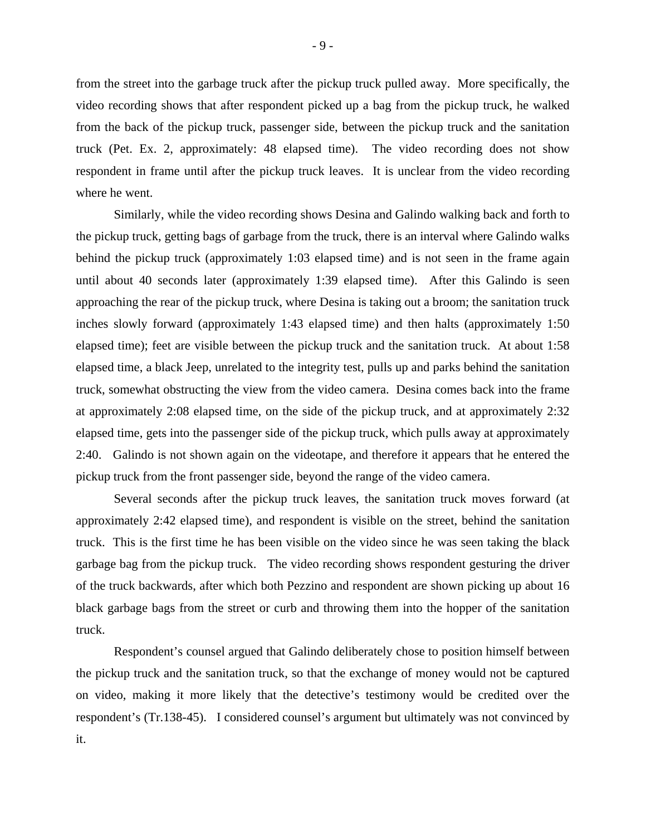from the street into the garbage truck after the pickup truck pulled away. More specifically, the video recording shows that after respondent picked up a bag from the pickup truck, he walked from the back of the pickup truck, passenger side, between the pickup truck and the sanitation truck (Pet. Ex. 2, approximately: 48 elapsed time). The video recording does not show respondent in frame until after the pickup truck leaves. It is unclear from the video recording where he went.

 Similarly, while the video recording shows Desina and Galindo walking back and forth to the pickup truck, getting bags of garbage from the truck, there is an interval where Galindo walks behind the pickup truck (approximately 1:03 elapsed time) and is not seen in the frame again until about 40 seconds later (approximately 1:39 elapsed time). After this Galindo is seen approaching the rear of the pickup truck, where Desina is taking out a broom; the sanitation truck inches slowly forward (approximately 1:43 elapsed time) and then halts (approximately 1:50 elapsed time); feet are visible between the pickup truck and the sanitation truck. At about 1:58 elapsed time, a black Jeep, unrelated to the integrity test, pulls up and parks behind the sanitation truck, somewhat obstructing the view from the video camera. Desina comes back into the frame at approximately 2:08 elapsed time, on the side of the pickup truck, and at approximately 2:32 elapsed time, gets into the passenger side of the pickup truck, which pulls away at approximately 2:40. Galindo is not shown again on the videotape, and therefore it appears that he entered the pickup truck from the front passenger side, beyond the range of the video camera.

 Several seconds after the pickup truck leaves, the sanitation truck moves forward (at approximately 2:42 elapsed time), and respondent is visible on the street, behind the sanitation truck. This is the first time he has been visible on the video since he was seen taking the black garbage bag from the pickup truck. The video recording shows respondent gesturing the driver of the truck backwards, after which both Pezzino and respondent are shown picking up about 16 black garbage bags from the street or curb and throwing them into the hopper of the sanitation truck.

 Respondent's counsel argued that Galindo deliberately chose to position himself between the pickup truck and the sanitation truck, so that the exchange of money would not be captured on video, making it more likely that the detective's testimony would be credited over the respondent's (Tr.138-45). I considered counsel's argument but ultimately was not convinced by it.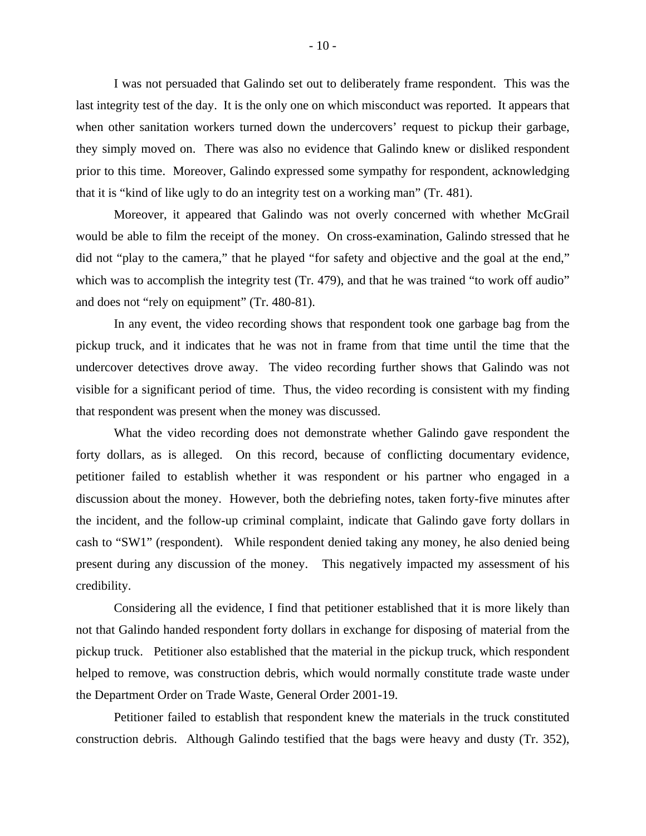I was not persuaded that Galindo set out to deliberately frame respondent. This was the last integrity test of the day. It is the only one on which misconduct was reported. It appears that when other sanitation workers turned down the undercovers' request to pickup their garbage, they simply moved on. There was also no evidence that Galindo knew or disliked respondent prior to this time. Moreover, Galindo expressed some sympathy for respondent, acknowledging that it is "kind of like ugly to do an integrity test on a working man" (Tr. 481).

 Moreover, it appeared that Galindo was not overly concerned with whether McGrail would be able to film the receipt of the money. On cross-examination, Galindo stressed that he did not "play to the camera," that he played "for safety and objective and the goal at the end," which was to accomplish the integrity test (Tr. 479), and that he was trained "to work off audio" and does not "rely on equipment" (Tr. 480-81).

 In any event, the video recording shows that respondent took one garbage bag from the pickup truck, and it indicates that he was not in frame from that time until the time that the undercover detectives drove away. The video recording further shows that Galindo was not visible for a significant period of time. Thus, the video recording is consistent with my finding that respondent was present when the money was discussed.

 What the video recording does not demonstrate whether Galindo gave respondent the forty dollars, as is alleged. On this record, because of conflicting documentary evidence, petitioner failed to establish whether it was respondent or his partner who engaged in a discussion about the money. However, both the debriefing notes, taken forty-five minutes after the incident, and the follow-up criminal complaint, indicate that Galindo gave forty dollars in cash to "SW1" (respondent). While respondent denied taking any money, he also denied being present during any discussion of the money. This negatively impacted my assessment of his credibility.

 Considering all the evidence, I find that petitioner established that it is more likely than not that Galindo handed respondent forty dollars in exchange for disposing of material from the pickup truck. Petitioner also established that the material in the pickup truck, which respondent helped to remove, was construction debris, which would normally constitute trade waste under the Department Order on Trade Waste, General Order 2001-19.

 Petitioner failed to establish that respondent knew the materials in the truck constituted construction debris. Although Galindo testified that the bags were heavy and dusty (Tr. 352),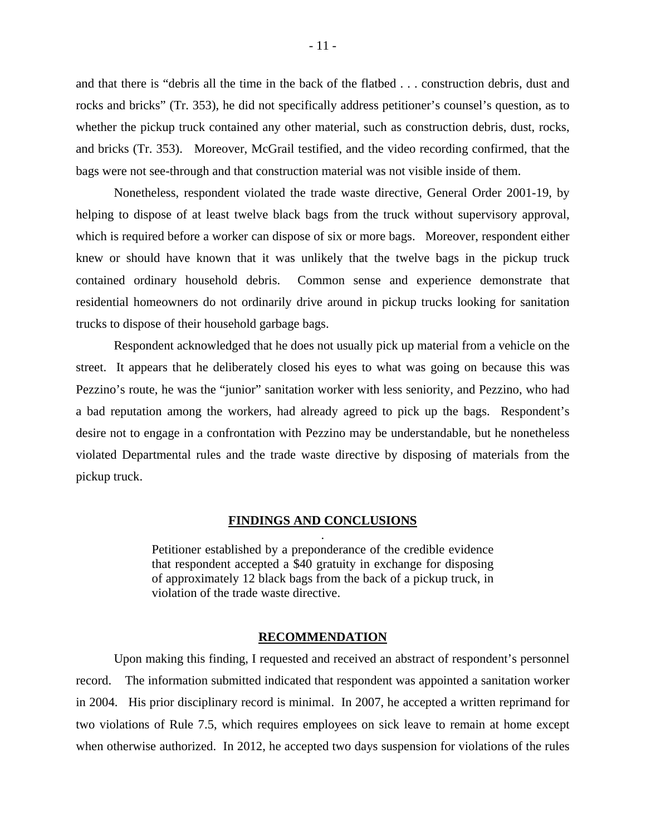and that there is "debris all the time in the back of the flatbed . . . construction debris, dust and rocks and bricks" (Tr. 353), he did not specifically address petitioner's counsel's question, as to whether the pickup truck contained any other material, such as construction debris, dust, rocks, and bricks (Tr. 353). Moreover, McGrail testified, and the video recording confirmed, that the bags were not see-through and that construction material was not visible inside of them.

 Nonetheless, respondent violated the trade waste directive, General Order 2001-19, by helping to dispose of at least twelve black bags from the truck without supervisory approval, which is required before a worker can dispose of six or more bags. Moreover, respondent either knew or should have known that it was unlikely that the twelve bags in the pickup truck contained ordinary household debris. Common sense and experience demonstrate that residential homeowners do not ordinarily drive around in pickup trucks looking for sanitation trucks to dispose of their household garbage bags.

 Respondent acknowledged that he does not usually pick up material from a vehicle on the street. It appears that he deliberately closed his eyes to what was going on because this was Pezzino's route, he was the "junior" sanitation worker with less seniority, and Pezzino, who had a bad reputation among the workers, had already agreed to pick up the bags. Respondent's desire not to engage in a confrontation with Pezzino may be understandable, but he nonetheless violated Departmental rules and the trade waste directive by disposing of materials from the pickup truck.

## **FINDINGS AND CONCLUSIONS** .

Petitioner established by a preponderance of the credible evidence that respondent accepted a \$40 gratuity in exchange for disposing of approximately 12 black bags from the back of a pickup truck, in violation of the trade waste directive.

#### **RECOMMENDATION**

Upon making this finding, I requested and received an abstract of respondent's personnel record. The information submitted indicated that respondent was appointed a sanitation worker in 2004. His prior disciplinary record is minimal. In 2007, he accepted a written reprimand for two violations of Rule 7.5, which requires employees on sick leave to remain at home except when otherwise authorized. In 2012, he accepted two days suspension for violations of the rules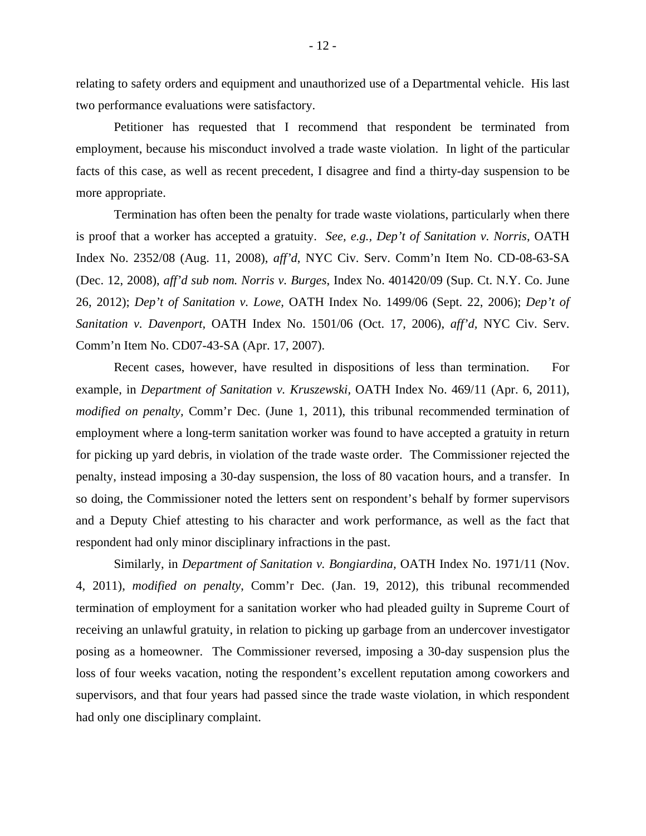relating to safety orders and equipment and unauthorized use of a Departmental vehicle. His last two performance evaluations were satisfactory.

Petitioner has requested that I recommend that respondent be terminated from employment, because his misconduct involved a trade waste violation. In light of the particular facts of this case, as well as recent precedent, I disagree and find a thirty-day suspension to be more appropriate.

Termination has often been the penalty for trade waste violations, particularly when there is proof that a worker has accepted a gratuity. *See, e.g., Dep't of Sanitation v. Norris*, OATH Index No. 2352/08 (Aug. 11, 2008), *aff'd*, NYC Civ. Serv. Comm'n Item No. CD-08-63-SA (Dec. 12, 2008), *aff'd sub nom. Norris v. Burges*, Index No. 401420/09 (Sup. Ct. N.Y. Co. June 26, 2012); *Dep't of Sanitation v. Lowe,* OATH Index No. 1499/06 (Sept. 22, 2006); *Dep't of Sanitation v. Davenport,* OATH Index No. 1501/06 (Oct. 17, 2006), *aff'd,* NYC Civ. Serv. Comm'n Item No. CD07-43-SA (Apr. 17, 2007).

 Recent cases, however, have resulted in dispositions of less than termination. For example, in *Department of Sanitation v. Kruszewski,* OATH Index No. 469/11 (Apr. 6, 2011), *modified on penalty,* Comm'r Dec. (June 1, 2011), this tribunal recommended termination of employment where a long-term sanitation worker was found to have accepted a gratuity in return for picking up yard debris, in violation of the trade waste order. The Commissioner rejected the penalty, instead imposing a 30-day suspension, the loss of 80 vacation hours, and a transfer. In so doing, the Commissioner noted the letters sent on respondent's behalf by former supervisors and a Deputy Chief attesting to his character and work performance, as well as the fact that respondent had only minor disciplinary infractions in the past.

 Similarly, in *Department of Sanitation v. Bongiardina,* OATH Index No. 1971/11 (Nov. 4, 2011), *modified on penalty*, Comm'r Dec. (Jan. 19, 2012), this tribunal recommended termination of employment for a sanitation worker who had pleaded guilty in Supreme Court of receiving an unlawful gratuity, in relation to picking up garbage from an undercover investigator posing as a homeowner. The Commissioner reversed, imposing a 30-day suspension plus the loss of four weeks vacation, noting the respondent's excellent reputation among coworkers and supervisors, and that four years had passed since the trade waste violation, in which respondent had only one disciplinary complaint.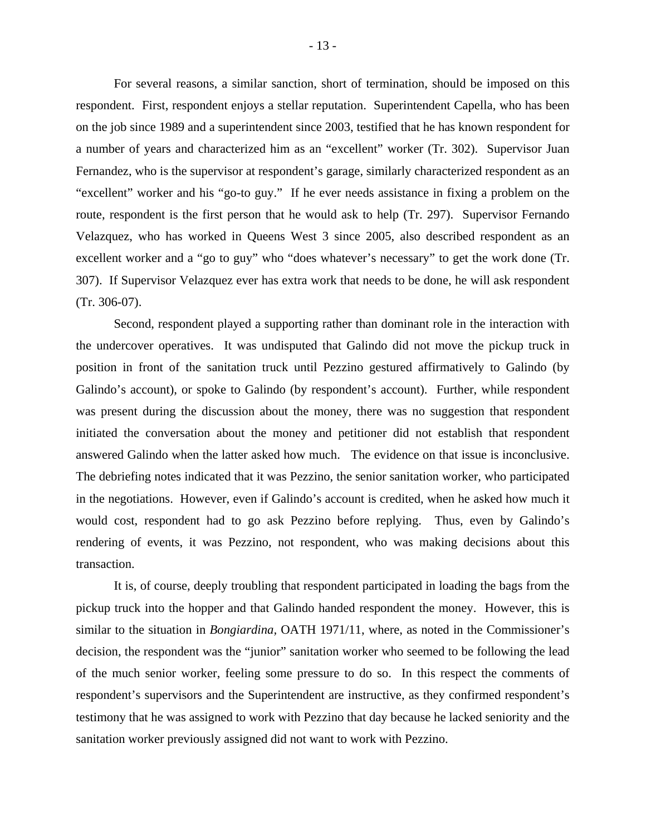For several reasons, a similar sanction, short of termination, should be imposed on this respondent. First, respondent enjoys a stellar reputation. Superintendent Capella, who has been on the job since 1989 and a superintendent since 2003, testified that he has known respondent for a number of years and characterized him as an "excellent" worker (Tr. 302). Supervisor Juan Fernandez, who is the supervisor at respondent's garage, similarly characterized respondent as an "excellent" worker and his "go-to guy." If he ever needs assistance in fixing a problem on the route, respondent is the first person that he would ask to help (Tr. 297). Supervisor Fernando Velazquez, who has worked in Queens West 3 since 2005, also described respondent as an excellent worker and a "go to guy" who "does whatever's necessary" to get the work done (Tr. 307). If Supervisor Velazquez ever has extra work that needs to be done, he will ask respondent (Tr. 306-07).

 Second, respondent played a supporting rather than dominant role in the interaction with the undercover operatives. It was undisputed that Galindo did not move the pickup truck in position in front of the sanitation truck until Pezzino gestured affirmatively to Galindo (by Galindo's account), or spoke to Galindo (by respondent's account). Further, while respondent was present during the discussion about the money, there was no suggestion that respondent initiated the conversation about the money and petitioner did not establish that respondent answered Galindo when the latter asked how much. The evidence on that issue is inconclusive. The debriefing notes indicated that it was Pezzino, the senior sanitation worker, who participated in the negotiations. However, even if Galindo's account is credited, when he asked how much it would cost, respondent had to go ask Pezzino before replying. Thus, even by Galindo's rendering of events, it was Pezzino, not respondent, who was making decisions about this transaction.

 It is, of course, deeply troubling that respondent participated in loading the bags from the pickup truck into the hopper and that Galindo handed respondent the money. However, this is similar to the situation in *Bongiardina,* OATH 1971/11, where, as noted in the Commissioner's decision, the respondent was the "junior" sanitation worker who seemed to be following the lead of the much senior worker, feeling some pressure to do so. In this respect the comments of respondent's supervisors and the Superintendent are instructive, as they confirmed respondent's testimony that he was assigned to work with Pezzino that day because he lacked seniority and the sanitation worker previously assigned did not want to work with Pezzino.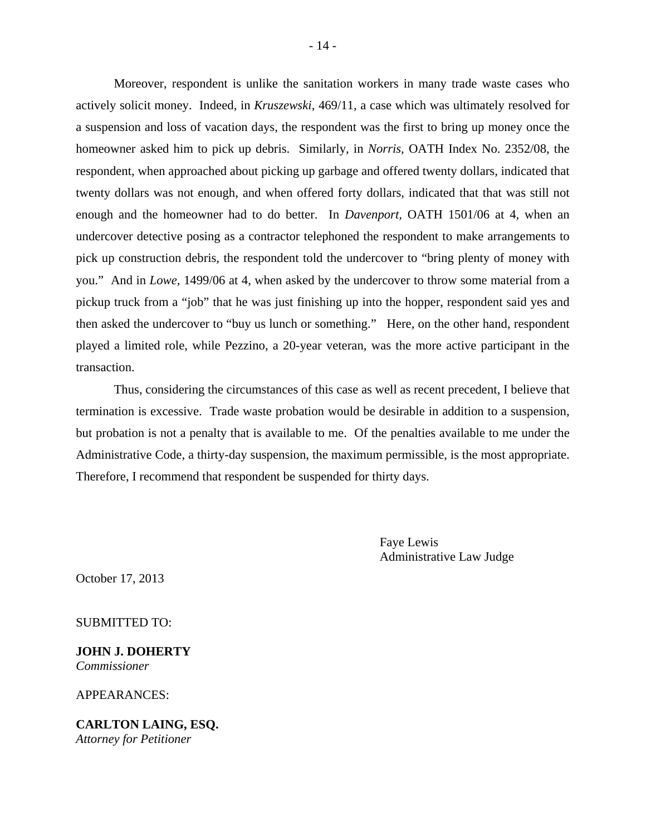Moreover, respondent is unlike the sanitation workers in many trade waste cases who actively solicit money. Indeed, in *Kruszewski*, 469/11, a case which was ultimately resolved for a suspension and loss of vacation days, the respondent was the first to bring up money once the homeowner asked him to pick up debris. Similarly, in *Norris*, OATH Index No. 2352/08, the respondent, when approached about picking up garbage and offered twenty dollars, indicated that twenty dollars was not enough, and when offered forty dollars, indicated that that was still not enough and the homeowner had to do better. In *Davenport,* OATH 1501/06 at 4, when an undercover detective posing as a contractor telephoned the respondent to make arrangements to pick up construction debris, the respondent told the undercover to "bring plenty of money with you." And in *Lowe,* 1499/06 at 4, when asked by the undercover to throw some material from a pickup truck from a "job" that he was just finishing up into the hopper, respondent said yes and then asked the undercover to "buy us lunch or something." Here, on the other hand, respondent played a limited role, while Pezzino, a 20-year veteran, was the more active participant in the transaction.

 Thus, considering the circumstances of this case as well as recent precedent, I believe that termination is excessive. Trade waste probation would be desirable in addition to a suspension, but probation is not a penalty that is available to me. Of the penalties available to me under the Administrative Code, a thirty-day suspension, the maximum permissible, is the most appropriate. Therefore, I recommend that respondent be suspended for thirty days.

> Faye Lewis Administrative Law Judge

October 17, 2013

SUBMITTED TO:

**JOHN J. DOHERTY**  *Commissioner* 

APPEARANCES:

**CARLTON LAING, ESQ.**  *Attorney for Petitioner*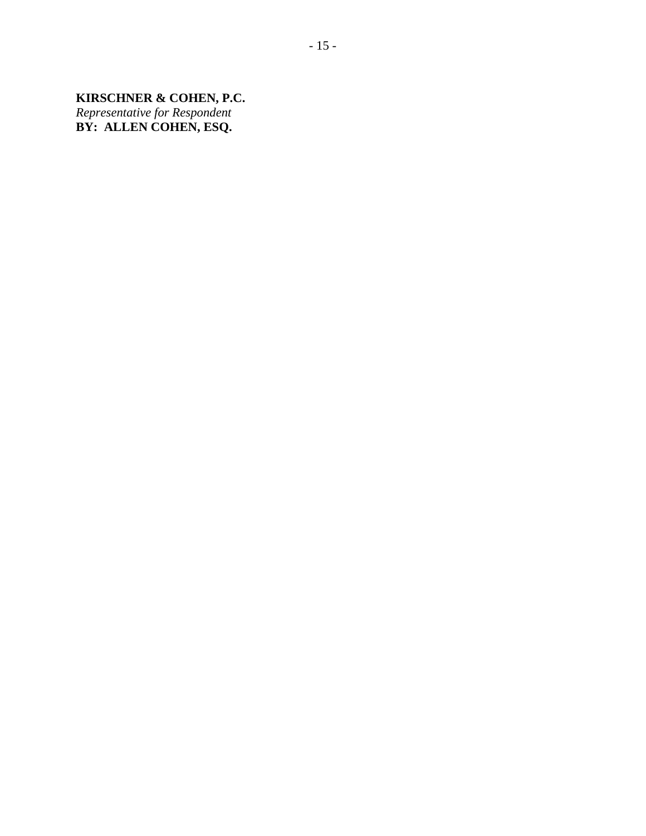**KIRSCHNER & COHEN, P.C.**  *Representative for Respondent*  **BY: ALLEN COHEN, ESQ.**